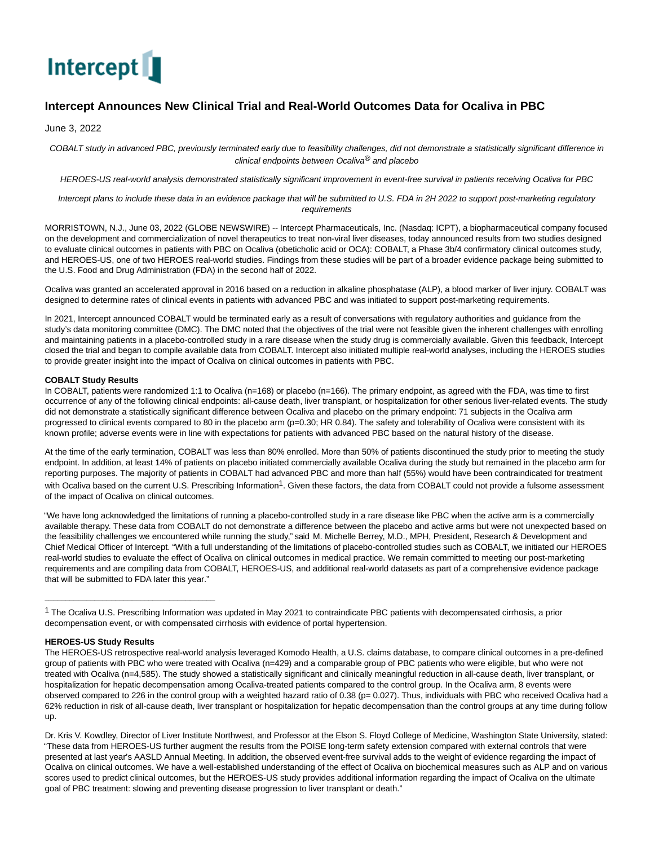

# **Intercept Announces New Clinical Trial and Real-World Outcomes Data for Ocaliva in PBC**

June 3, 2022

COBALT study in advanced PBC, previously terminated early due to feasibility challenges, did not demonstrate a statistically significant difference in clinical endpoints between Ocaliva<sup>®</sup> and placebo

HEROES-US real-world analysis demonstrated statistically significant improvement in event-free survival in patients receiving Ocaliva for PBC

Intercept plans to include these data in an evidence package that will be submitted to U.S. FDA in 2H 2022 to support post-marketing regulatory requirements

MORRISTOWN, N.J., June 03, 2022 (GLOBE NEWSWIRE) -- Intercept Pharmaceuticals, Inc. (Nasdaq: ICPT), a biopharmaceutical company focused on the development and commercialization of novel therapeutics to treat non-viral liver diseases, today announced results from two studies designed to evaluate clinical outcomes in patients with PBC on Ocaliva (obeticholic acid or OCA): COBALT, a Phase 3b/4 confirmatory clinical outcomes study, and HEROES-US, one of two HEROES real-world studies. Findings from these studies will be part of a broader evidence package being submitted to the U.S. Food and Drug Administration (FDA) in the second half of 2022.

Ocaliva was granted an accelerated approval in 2016 based on a reduction in alkaline phosphatase (ALP), a blood marker of liver injury. COBALT was designed to determine rates of clinical events in patients with advanced PBC and was initiated to support post-marketing requirements.

In 2021, Intercept announced COBALT would be terminated early as a result of conversations with regulatory authorities and guidance from the study's data monitoring committee (DMC). The DMC noted that the objectives of the trial were not feasible given the inherent challenges with enrolling and maintaining patients in a placebo-controlled study in a rare disease when the study drug is commercially available. Given this feedback, Intercept closed the trial and began to compile available data from COBALT. Intercept also initiated multiple real-world analyses, including the HEROES studies to provide greater insight into the impact of Ocaliva on clinical outcomes in patients with PBC.

## **COBALT Study Results**

In COBALT, patients were randomized 1:1 to Ocaliva (n=168) or placebo (n=166). The primary endpoint, as agreed with the FDA, was time to first occurrence of any of the following clinical endpoints: all-cause death, liver transplant, or hospitalization for other serious liver-related events. The study did not demonstrate a statistically significant difference between Ocaliva and placebo on the primary endpoint: 71 subjects in the Ocaliva arm progressed to clinical events compared to 80 in the placebo arm (p=0.30; HR 0.84). The safety and tolerability of Ocaliva were consistent with its known profile; adverse events were in line with expectations for patients with advanced PBC based on the natural history of the disease.

At the time of the early termination, COBALT was less than 80% enrolled. More than 50% of patients discontinued the study prior to meeting the study endpoint. In addition, at least 14% of patients on placebo initiated commercially available Ocaliva during the study but remained in the placebo arm for reporting purposes. The majority of patients in COBALT had advanced PBC and more than half (55%) would have been contraindicated for treatment with Ocaliva based on the current U.S. Prescribing Information<sup>1</sup>. Given these factors, the data from COBALT could not provide a fulsome assessment of the impact of Ocaliva on clinical outcomes.

"We have long acknowledged the limitations of running a placebo-controlled study in a rare disease like PBC when the active arm is a commercially available therapy. These data from COBALT do not demonstrate a difference between the placebo and active arms but were not unexpected based on the feasibility challenges we encountered while running the study," said M. Michelle Berrey, M.D., MPH, President, Research & Development and Chief Medical Officer of Intercept. "With a full understanding of the limitations of placebo-controlled studies such as COBALT, we initiated our HEROES real-world studies to evaluate the effect of Ocaliva on clinical outcomes in medical practice. We remain committed to meeting our post-marketing requirements and are compiling data from COBALT, HEROES-US, and additional real-world datasets as part of a comprehensive evidence package that will be submitted to FDA later this year."

## **HEROES-US Study Results**

\_\_\_\_\_\_\_\_\_\_\_\_\_\_\_\_\_\_\_\_\_\_\_\_\_\_\_\_\_\_\_\_\_\_\_\_\_\_\_\_\_

The HEROES-US retrospective real-world analysis leveraged Komodo Health, a U.S. claims database, to compare clinical outcomes in a pre-defined group of patients with PBC who were treated with Ocaliva (n=429) and a comparable group of PBC patients who were eligible, but who were not treated with Ocaliva (n=4,585). The study showed a statistically significant and clinically meaningful reduction in all-cause death, liver transplant, or hospitalization for hepatic decompensation among Ocaliva-treated patients compared to the control group. In the Ocaliva arm, 8 events were observed compared to 226 in the control group with a weighted hazard ratio of 0.38 (p= 0.027). Thus, individuals with PBC who received Ocaliva had a 62% reduction in risk of all-cause death, liver transplant or hospitalization for hepatic decompensation than the control groups at any time during follow up.

Dr. Kris V. Kowdley, Director of Liver Institute Northwest, and Professor at the Elson S. Floyd College of Medicine, Washington State University, stated: "These data from HEROES-US further augment the results from the POISE long-term safety extension compared with external controls that were presented at last year's AASLD Annual Meeting. In addition, the observed event-free survival adds to the weight of evidence regarding the impact of Ocaliva on clinical outcomes. We have a well-established understanding of the effect of Ocaliva on biochemical measures such as ALP and on various scores used to predict clinical outcomes, but the HEROES-US study provides additional information regarding the impact of Ocaliva on the ultimate goal of PBC treatment: slowing and preventing disease progression to liver transplant or death."

<sup>1</sup> The Ocaliva U.S. Prescribing Information was updated in May 2021 to contraindicate PBC patients with decompensated cirrhosis, a prior decompensation event, or with compensated cirrhosis with evidence of portal hypertension.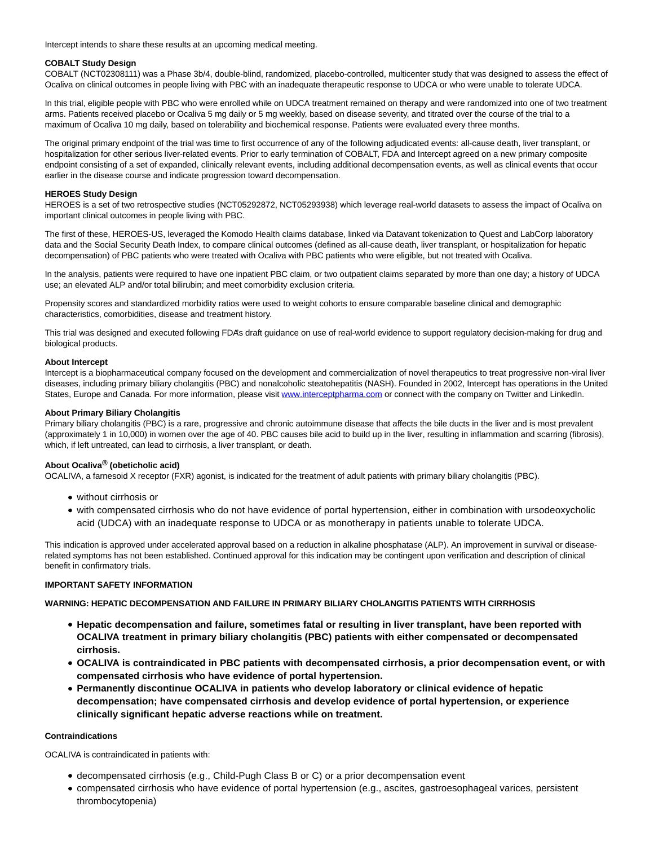Intercept intends to share these results at an upcoming medical meeting.

## **COBALT Study Design**

COBALT (NCT02308111) was a Phase 3b/4, double-blind, randomized, placebo-controlled, multicenter study that was designed to assess the effect of Ocaliva on clinical outcomes in people living with PBC with an inadequate therapeutic response to UDCA or who were unable to tolerate UDCA.

In this trial, eligible people with PBC who were enrolled while on UDCA treatment remained on therapy and were randomized into one of two treatment arms. Patients received placebo or Ocaliva 5 mg daily or 5 mg weekly, based on disease severity, and titrated over the course of the trial to a maximum of Ocaliva 10 mg daily, based on tolerability and biochemical response. Patients were evaluated every three months.

The original primary endpoint of the trial was time to first occurrence of any of the following adjudicated events: all-cause death, liver transplant, or hospitalization for other serious liver-related events. Prior to early termination of COBALT, FDA and Intercept agreed on a new primary composite endpoint consisting of a set of expanded, clinically relevant events, including additional decompensation events, as well as clinical events that occur earlier in the disease course and indicate progression toward decompensation.

#### **HEROES Study Design**

HEROES is a set of two retrospective studies (NCT05292872, NCT05293938) which leverage real-world datasets to assess the impact of Ocaliva on important clinical outcomes in people living with PBC.

The first of these, HEROES-US, leveraged the Komodo Health claims database, linked via Datavant tokenization to Quest and LabCorp laboratory data and the Social Security Death Index, to compare clinical outcomes (defined as all-cause death, liver transplant, or hospitalization for hepatic decompensation) of PBC patients who were treated with Ocaliva with PBC patients who were eligible, but not treated with Ocaliva.

In the analysis, patients were required to have one inpatient PBC claim, or two outpatient claims separated by more than one day; a history of UDCA use; an elevated ALP and/or total bilirubin; and meet comorbidity exclusion criteria.

Propensity scores and standardized morbidity ratios were used to weight cohorts to ensure comparable baseline clinical and demographic characteristics, comorbidities, disease and treatment history.

This trial was designed and executed following FDA's draft guidance on use of real-world evidence to support regulatory decision-making for drug and biological products.

#### **About Intercept**

Intercept is a biopharmaceutical company focused on the development and commercialization of novel therapeutics to treat progressive non-viral liver diseases, including primary biliary cholangitis (PBC) and nonalcoholic steatohepatitis (NASH). Founded in 2002, Intercept has operations in the United States, Europe and Canada. For more information, please visit [www.interceptpharma.com o](https://www.globenewswire.com/Tracker?data=_qDGoDXqYAzQsiRaPVML4vCFCIELVWBrw7AJSMytTHySo0PREZf9xI313DDLRHzy5Wz0KBBKGSmcIyrqY6h31da0xd18nnoLlQXT6xg0DtY=)r connect with the company on Twitter and LinkedIn.

#### **About Primary Biliary Cholangitis**

Primary biliary cholangitis (PBC) is a rare, progressive and chronic autoimmune disease that affects the bile ducts in the liver and is most prevalent (approximately 1 in 10,000) in women over the age of 40. PBC causes bile acid to build up in the liver, resulting in inflammation and scarring (fibrosis), which, if left untreated, can lead to cirrhosis, a liver transplant, or death.

## **About Ocaliva® (obeticholic acid)**

OCALIVA, a farnesoid X receptor (FXR) agonist, is indicated for the treatment of adult patients with primary biliary cholangitis (PBC).

- without cirrhosis or
- with compensated cirrhosis who do not have evidence of portal hypertension, either in combination with ursodeoxycholic acid (UDCA) with an inadequate response to UDCA or as monotherapy in patients unable to tolerate UDCA.

This indication is approved under accelerated approval based on a reduction in alkaline phosphatase (ALP). An improvement in survival or diseaserelated symptoms has not been established. Continued approval for this indication may be contingent upon verification and description of clinical benefit in confirmatory trials.

## **IMPORTANT SAFETY INFORMATION**

**WARNING: HEPATIC DECOMPENSATION AND FAILURE IN PRIMARY BILIARY CHOLANGITIS PATIENTS WITH CIRRHOSIS**

- **Hepatic decompensation and failure, sometimes fatal or resulting in liver transplant, have been reported with OCALIVA treatment in primary biliary cholangitis (PBC) patients with either compensated or decompensated cirrhosis.**
- **OCALIVA is contraindicated in PBC patients with decompensated cirrhosis, a prior decompensation event, or with compensated cirrhosis who have evidence of portal hypertension.**
- **Permanently discontinue OCALIVA in patients who develop laboratory or clinical evidence of hepatic decompensation; have compensated cirrhosis and develop evidence of portal hypertension, or experience clinically significant hepatic adverse reactions while on treatment.**

#### **Contraindications**

OCALIVA is contraindicated in patients with:

- decompensated cirrhosis (e.g., Child-Pugh Class B or C) or a prior decompensation event
- compensated cirrhosis who have evidence of portal hypertension (e.g., ascites, gastroesophageal varices, persistent thrombocytopenia)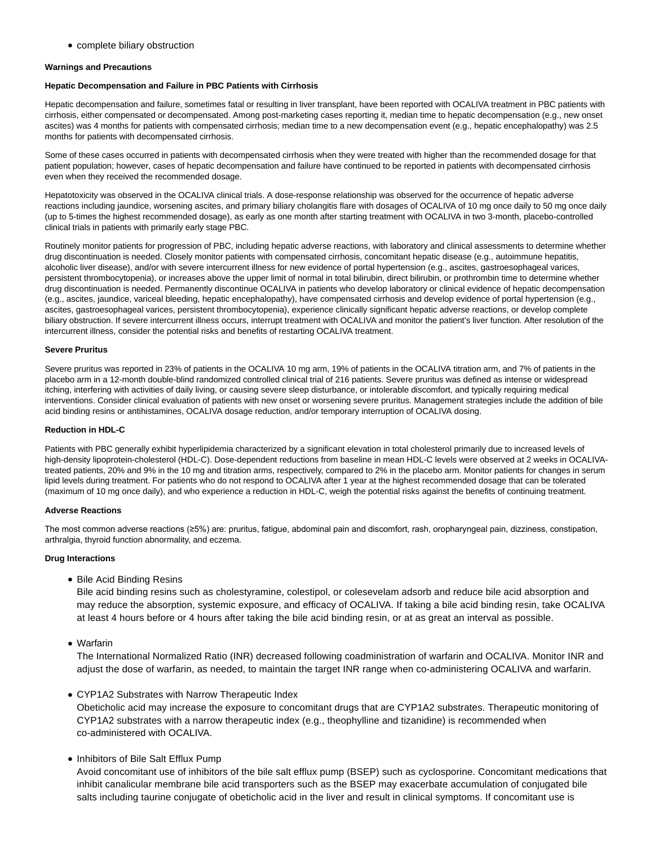complete biliary obstruction

#### **Warnings and Precautions**

#### **Hepatic Decompensation and Failure in PBC Patients with Cirrhosis**

Hepatic decompensation and failure, sometimes fatal or resulting in liver transplant, have been reported with OCALIVA treatment in PBC patients with cirrhosis, either compensated or decompensated. Among post-marketing cases reporting it, median time to hepatic decompensation (e.g., new onset ascites) was 4 months for patients with compensated cirrhosis; median time to a new decompensation event (e.g., hepatic encephalopathy) was 2.5 months for patients with decompensated cirrhosis.

Some of these cases occurred in patients with decompensated cirrhosis when they were treated with higher than the recommended dosage for that patient population; however, cases of hepatic decompensation and failure have continued to be reported in patients with decompensated cirrhosis even when they received the recommended dosage.

Hepatotoxicity was observed in the OCALIVA clinical trials. A dose-response relationship was observed for the occurrence of hepatic adverse reactions including jaundice, worsening ascites, and primary biliary cholangitis flare with dosages of OCALIVA of 10 mg once daily to 50 mg once daily (up to 5-times the highest recommended dosage), as early as one month after starting treatment with OCALIVA in two 3-month, placebo-controlled clinical trials in patients with primarily early stage PBC.

Routinely monitor patients for progression of PBC, including hepatic adverse reactions, with laboratory and clinical assessments to determine whether drug discontinuation is needed. Closely monitor patients with compensated cirrhosis, concomitant hepatic disease (e.g., autoimmune hepatitis, alcoholic liver disease), and/or with severe intercurrent illness for new evidence of portal hypertension (e.g., ascites, gastroesophageal varices, persistent thrombocytopenia), or increases above the upper limit of normal in total bilirubin, direct bilirubin, or prothrombin time to determine whether drug discontinuation is needed. Permanently discontinue OCALIVA in patients who develop laboratory or clinical evidence of hepatic decompensation (e.g., ascites, jaundice, variceal bleeding, hepatic encephalopathy), have compensated cirrhosis and develop evidence of portal hypertension (e.g., ascites, gastroesophageal varices, persistent thrombocytopenia), experience clinically significant hepatic adverse reactions, or develop complete biliary obstruction. If severe intercurrent illness occurs, interrupt treatment with OCALIVA and monitor the patient's liver function. After resolution of the intercurrent illness, consider the potential risks and benefits of restarting OCALIVA treatment.

## **Severe Pruritus**

Severe pruritus was reported in 23% of patients in the OCALIVA 10 mg arm, 19% of patients in the OCALIVA titration arm, and 7% of patients in the placebo arm in a 12-month double-blind randomized controlled clinical trial of 216 patients. Severe pruritus was defined as intense or widespread itching, interfering with activities of daily living, or causing severe sleep disturbance, or intolerable discomfort, and typically requiring medical interventions. Consider clinical evaluation of patients with new onset or worsening severe pruritus. Management strategies include the addition of bile acid binding resins or antihistamines, OCALIVA dosage reduction, and/or temporary interruption of OCALIVA dosing.

#### **Reduction in HDL-C**

Patients with PBC generally exhibit hyperlipidemia characterized by a significant elevation in total cholesterol primarily due to increased levels of high-density lipoprotein-cholesterol (HDL-C). Dose-dependent reductions from baseline in mean HDL-C levels were observed at 2 weeks in OCALIVAtreated patients, 20% and 9% in the 10 mg and titration arms, respectively, compared to 2% in the placebo arm. Monitor patients for changes in serum lipid levels during treatment. For patients who do not respond to OCALIVA after 1 year at the highest recommended dosage that can be tolerated (maximum of 10 mg once daily), and who experience a reduction in HDL-C, weigh the potential risks against the benefits of continuing treatment.

#### **Adverse Reactions**

The most common adverse reactions (≥5%) are: pruritus, fatigue, abdominal pain and discomfort, rash, oropharyngeal pain, dizziness, constipation, arthralgia, thyroid function abnormality, and eczema.

## **Drug Interactions**

• Bile Acid Binding Resins

Bile acid binding resins such as cholestyramine, colestipol, or colesevelam adsorb and reduce bile acid absorption and may reduce the absorption, systemic exposure, and efficacy of OCALIVA. If taking a bile acid binding resin, take OCALIVA at least 4 hours before or 4 hours after taking the bile acid binding resin, or at as great an interval as possible.

Warfarin

The International Normalized Ratio (INR) decreased following coadministration of warfarin and OCALIVA. Monitor INR and adjust the dose of warfarin, as needed, to maintain the target INR range when co-administering OCALIVA and warfarin.

## CYP1A2 Substrates with Narrow Therapeutic Index

Obeticholic acid may increase the exposure to concomitant drugs that are CYP1A2 substrates. Therapeutic monitoring of CYP1A2 substrates with a narrow therapeutic index (e.g., theophylline and tizanidine) is recommended when co-administered with OCALIVA.

• Inhibitors of Bile Salt Efflux Pump

Avoid concomitant use of inhibitors of the bile salt efflux pump (BSEP) such as cyclosporine. Concomitant medications that inhibit canalicular membrane bile acid transporters such as the BSEP may exacerbate accumulation of conjugated bile salts including taurine conjugate of obeticholic acid in the liver and result in clinical symptoms. If concomitant use is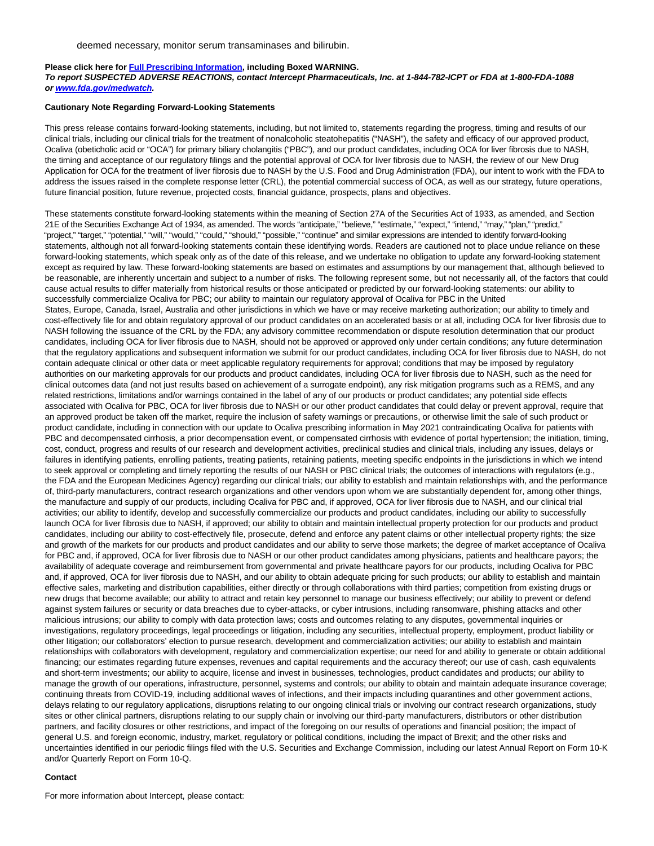#### **Please click here for [Full Prescribing Information,](https://www.globenewswire.com/Tracker?data=HX80GPgWBqbApgcgk4HnxrtspNX_SOE0tB3WaUVUp09sHl7DhzL1is0Wl5N8VBLbMwV7olZeOv8e802cVbFi8LHdn4ARYYUCMJOyREb6sLyc32II11LXcI5BND8d7013gAslm2XlrESXxcuLUx56eOOee4TsnxZJasdghGLUk2VBfRVn_c4vsQF06DEF-Mlfb-pDYbDbbqA73CE-AJaXhg==) including Boxed WARNING.**

#### **To report SUSPECTED ADVERSE REACTIONS, contact Intercept Pharmaceuticals, Inc. at 1-844-782-ICPT or FDA at 1-800-FDA-1088 or [www.fda.gov/medwatch.](https://www.globenewswire.com/Tracker?data=LdEyTHHCi0zz26CEIppijx_GomOOlri8MXZcnEMHNbjIrKGQz5rCQwbwbYy91SnY5DY54PZ8nNx_a4tiLf8Q3UpxK1OTcTqS-5TMyT9Dr70=)**

#### **Cautionary Note Regarding Forward-Looking Statements**

This press release contains forward-looking statements, including, but not limited to, statements regarding the progress, timing and results of our clinical trials, including our clinical trials for the treatment of nonalcoholic steatohepatitis ("NASH"), the safety and efficacy of our approved product, Ocaliva (obeticholic acid or "OCA") for primary biliary cholangitis ("PBC"), and our product candidates, including OCA for liver fibrosis due to NASH, the timing and acceptance of our regulatory filings and the potential approval of OCA for liver fibrosis due to NASH, the review of our New Drug Application for OCA for the treatment of liver fibrosis due to NASH by the U.S. Food and Drug Administration (FDA), our intent to work with the FDA to address the issues raised in the complete response letter (CRL), the potential commercial success of OCA, as well as our strategy, future operations, future financial position, future revenue, projected costs, financial guidance, prospects, plans and objectives.

These statements constitute forward-looking statements within the meaning of Section 27A of the Securities Act of 1933, as amended, and Section 21E of the Securities Exchange Act of 1934, as amended. The words "anticipate," "believe," "estimate," "expect," "intend," "may," "plan," "predict," "project," "target," "potential," "will," "would," "could," "should," "possible," "continue" and similar expressions are intended to identify forward-looking statements, although not all forward-looking statements contain these identifying words. Readers are cautioned not to place undue reliance on these forward-looking statements, which speak only as of the date of this release, and we undertake no obligation to update any forward-looking statement except as required by law. These forward-looking statements are based on estimates and assumptions by our management that, although believed to be reasonable, are inherently uncertain and subject to a number of risks. The following represent some, but not necessarily all, of the factors that could cause actual results to differ materially from historical results or those anticipated or predicted by our forward-looking statements: our ability to successfully commercialize Ocaliva for PBC; our ability to maintain our regulatory approval of Ocaliva for PBC in the United States, Europe, Canada, Israel, Australia and other jurisdictions in which we have or may receive marketing authorization; our ability to timely and cost-effectively file for and obtain regulatory approval of our product candidates on an accelerated basis or at all, including OCA for liver fibrosis due to NASH following the issuance of the CRL by the FDA; any advisory committee recommendation or dispute resolution determination that our product candidates, including OCA for liver fibrosis due to NASH, should not be approved or approved only under certain conditions; any future determination that the regulatory applications and subsequent information we submit for our product candidates, including OCA for liver fibrosis due to NASH, do not contain adequate clinical or other data or meet applicable regulatory requirements for approval; conditions that may be imposed by regulatory authorities on our marketing approvals for our products and product candidates, including OCA for liver fibrosis due to NASH, such as the need for clinical outcomes data (and not just results based on achievement of a surrogate endpoint), any risk mitigation programs such as a REMS, and any related restrictions, limitations and/or warnings contained in the label of any of our products or product candidates; any potential side effects associated with Ocaliva for PBC, OCA for liver fibrosis due to NASH or our other product candidates that could delay or prevent approval, require that an approved product be taken off the market, require the inclusion of safety warnings or precautions, or otherwise limit the sale of such product or product candidate, including in connection with our update to Ocaliva prescribing information in May 2021 contraindicating Ocaliva for patients with PBC and decompensated cirrhosis, a prior decompensation event, or compensated cirrhosis with evidence of portal hypertension; the initiation, timing, cost, conduct, progress and results of our research and development activities, preclinical studies and clinical trials, including any issues, delays or failures in identifying patients, enrolling patients, treating patients, retaining patients, meeting specific endpoints in the jurisdictions in which we intend to seek approval or completing and timely reporting the results of our NASH or PBC clinical trials; the outcomes of interactions with regulators (e.g., the FDA and the European Medicines Agency) regarding our clinical trials; our ability to establish and maintain relationships with, and the performance of, third-party manufacturers, contract research organizations and other vendors upon whom we are substantially dependent for, among other things, the manufacture and supply of our products, including Ocaliva for PBC and, if approved, OCA for liver fibrosis due to NASH, and our clinical trial activities; our ability to identify, develop and successfully commercialize our products and product candidates, including our ability to successfully launch OCA for liver fibrosis due to NASH, if approved; our ability to obtain and maintain intellectual property protection for our products and product candidates, including our ability to cost-effectively file, prosecute, defend and enforce any patent claims or other intellectual property rights; the size and growth of the markets for our products and product candidates and our ability to serve those markets; the degree of market acceptance of Ocaliva for PBC and, if approved, OCA for liver fibrosis due to NASH or our other product candidates among physicians, patients and healthcare payors; the availability of adequate coverage and reimbursement from governmental and private healthcare payors for our products, including Ocaliva for PBC and, if approved, OCA for liver fibrosis due to NASH, and our ability to obtain adequate pricing for such products; our ability to establish and maintain effective sales, marketing and distribution capabilities, either directly or through collaborations with third parties; competition from existing drugs or new drugs that become available; our ability to attract and retain key personnel to manage our business effectively; our ability to prevent or defend against system failures or security or data breaches due to cyber-attacks, or cyber intrusions, including ransomware, phishing attacks and other malicious intrusions; our ability to comply with data protection laws; costs and outcomes relating to any disputes, governmental inquiries or investigations, regulatory proceedings, legal proceedings or litigation, including any securities, intellectual property, employment, product liability or other litigation; our collaborators' election to pursue research, development and commercialization activities; our ability to establish and maintain relationships with collaborators with development, regulatory and commercialization expertise; our need for and ability to generate or obtain additional financing; our estimates regarding future expenses, revenues and capital requirements and the accuracy thereof; our use of cash, cash equivalents and short-term investments; our ability to acquire, license and invest in businesses, technologies, product candidates and products; our ability to manage the growth of our operations, infrastructure, personnel, systems and controls; our ability to obtain and maintain adequate insurance coverage; continuing threats from COVID-19, including additional waves of infections, and their impacts including quarantines and other government actions, delays relating to our regulatory applications, disruptions relating to our ongoing clinical trials or involving our contract research organizations, study sites or other clinical partners, disruptions relating to our supply chain or involving our third-party manufacturers, distributors or other distribution partners, and facility closures or other restrictions, and impact of the foregoing on our results of operations and financial position; the impact of general U.S. and foreign economic, industry, market, regulatory or political conditions, including the impact of Brexit; and the other risks and uncertainties identified in our periodic filings filed with the U.S. Securities and Exchange Commission, including our latest Annual Report on Form 10-K and/or Quarterly Report on Form 10-Q.

#### **Contact**

For more information about Intercept, please contact: